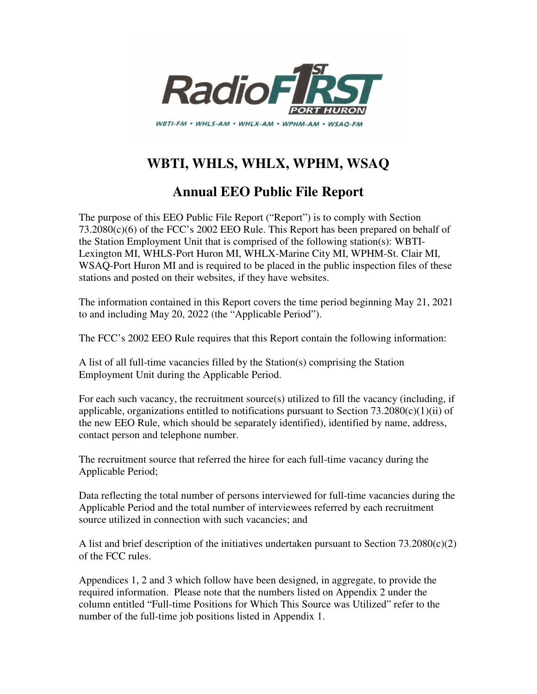

# **WBTI, WHLS, WHLX, WPHM, WSAQ**

### **Annual EEO Public File Report**

The purpose of this EEO Public File Report ("Report") is to comply with Section 73.2080(c)(6) of the FCC's 2002 EEO Rule. This Report has been prepared on behalf of the Station Employment Unit that is comprised of the following station(s): WBTI-Lexington MI, WHLS-Port Huron MI, WHLX-Marine City MI, WPHM-St. Clair MI, WSAQ-Port Huron MI and is required to be placed in the public inspection files of these stations and posted on their websites, if they have websites.

The information contained in this Report covers the time period beginning May 21, 2021 to and including May 20, 2022 (the "Applicable Period").

The FCC's 2002 EEO Rule requires that this Report contain the following information:

A list of all full-time vacancies filled by the Station(s) comprising the Station Employment Unit during the Applicable Period.

For each such vacancy, the recruitment source(s) utilized to fill the vacancy (including, if applicable, organizations entitled to notifications pursuant to Section  $73.2080(c)(1)(ii)$  of the new EEO Rule, which should be separately identified), identified by name, address, contact person and telephone number.

The recruitment source that referred the hiree for each full-time vacancy during the Applicable Period;

Data reflecting the total number of persons interviewed for full-time vacancies during the Applicable Period and the total number of interviewees referred by each recruitment source utilized in connection with such vacancies; and

A list and brief description of the initiatives undertaken pursuant to Section  $73.2080(c)(2)$ of the FCC rules.

Appendices 1, 2 and 3 which follow have been designed, in aggregate, to provide the required information. Please note that the numbers listed on Appendix 2 under the column entitled "Full-time Positions for Which This Source was Utilized" refer to the number of the full-time job positions listed in Appendix 1.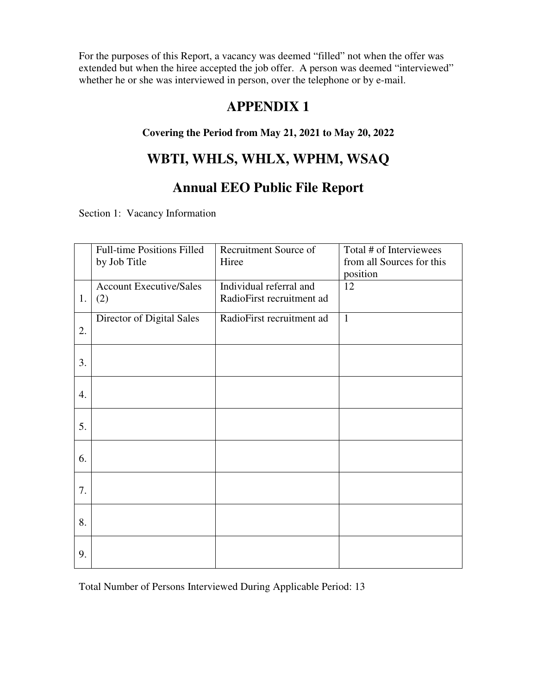For the purposes of this Report, a vacancy was deemed "filled" not when the offer was extended but when the hiree accepted the job offer. A person was deemed "interviewed" whether he or she was interviewed in person, over the telephone or by e-mail.

### **APPENDIX 1**

#### **Covering the Period from May 21, 2021 to May 20, 2022**

## **WBTI, WHLS, WHLX, WPHM, WSAQ**

## **Annual EEO Public File Report**

Section 1: Vacancy Information

|    | <b>Full-time Positions Filled</b><br>by Job Title | Recruitment Source of<br>Hiree                       | Total # of Interviewees<br>from all Sources for this |
|----|---------------------------------------------------|------------------------------------------------------|------------------------------------------------------|
| 1. | <b>Account Executive/Sales</b><br>(2)             | Individual referral and<br>RadioFirst recruitment ad | position<br>12                                       |
| 2. | Director of Digital Sales                         | RadioFirst recruitment ad                            | $\mathbf{1}$                                         |
| 3. |                                                   |                                                      |                                                      |
| 4. |                                                   |                                                      |                                                      |
| 5. |                                                   |                                                      |                                                      |
| 6. |                                                   |                                                      |                                                      |
| 7. |                                                   |                                                      |                                                      |
| 8. |                                                   |                                                      |                                                      |
| 9. |                                                   |                                                      |                                                      |

Total Number of Persons Interviewed During Applicable Period: 13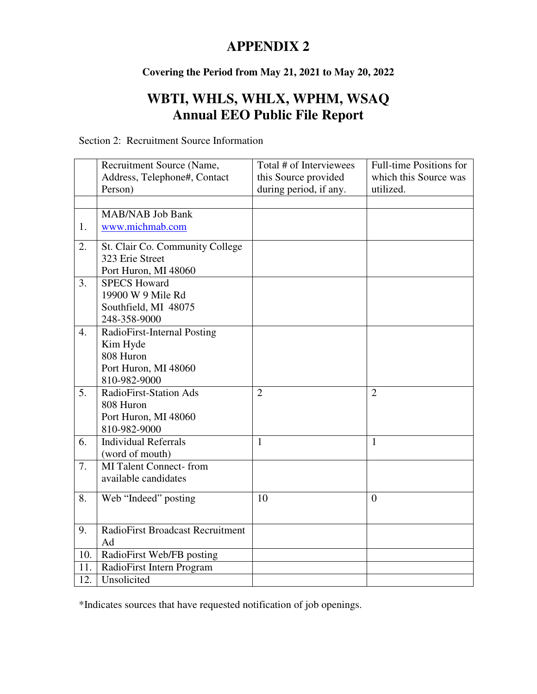# **APPENDIX 2**

#### **Covering the Period from May 21, 2021 to May 20, 2022**

# **WBTI, WHLS, WHLX, WPHM, WSAQ Annual EEO Public File Report**

|  | Section 2: Recruitment Source Information |
|--|-------------------------------------------|
|--|-------------------------------------------|

|                  | Recruitment Source (Name,               | Total # of Interviewees | Full-time Positions for |
|------------------|-----------------------------------------|-------------------------|-------------------------|
|                  | Address, Telephone#, Contact            | this Source provided    | which this Source was   |
|                  | Person)                                 | during period, if any.  | utilized.               |
|                  |                                         |                         |                         |
|                  | <b>MAB/NAB Job Bank</b>                 |                         |                         |
| 1.               | www.michmab.com                         |                         |                         |
| 2.               | St. Clair Co. Community College         |                         |                         |
|                  | 323 Erie Street                         |                         |                         |
|                  | Port Huron, MI 48060                    |                         |                         |
| $\overline{3}$ . | <b>SPECS Howard</b>                     |                         |                         |
|                  | 19900 W 9 Mile Rd                       |                         |                         |
|                  | Southfield, MI 48075                    |                         |                         |
|                  | 248-358-9000                            |                         |                         |
| 4.               | RadioFirst-Internal Posting             |                         |                         |
|                  | Kim Hyde                                |                         |                         |
|                  | 808 Huron                               |                         |                         |
|                  | Port Huron, MI 48060                    |                         |                         |
|                  | 810-982-9000                            |                         |                         |
| 5.               | RadioFirst-Station Ads                  | $\overline{2}$          | $\overline{2}$          |
|                  | 808 Huron                               |                         |                         |
|                  | Port Huron, MI 48060                    |                         |                         |
|                  | 810-982-9000                            |                         |                         |
| 6.               | <b>Individual Referrals</b>             | $\mathbf{1}$            | $\mathbf{1}$            |
|                  | (word of mouth)                         |                         |                         |
| 7.               | <b>MI Talent Connect-from</b>           |                         |                         |
|                  | available candidates                    |                         |                         |
| 8.               |                                         | 10                      |                         |
|                  | Web "Indeed" posting                    |                         | $\overline{0}$          |
|                  |                                         |                         |                         |
| 9.               | <b>RadioFirst Broadcast Recruitment</b> |                         |                         |
|                  | Ad                                      |                         |                         |
| 10.              | RadioFirst Web/FB posting               |                         |                         |
| 11.              | RadioFirst Intern Program               |                         |                         |
| 12.              | Unsolicited                             |                         |                         |

\*Indicates sources that have requested notification of job openings.